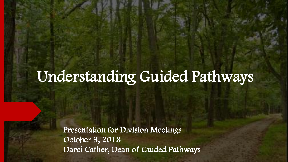## Understanding Guided Pathways

Presentation for Division Meetings October 3, 2018 Darci Cather, Dean of Guided Pathways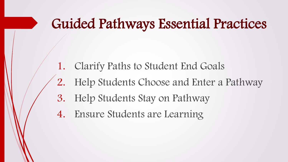#### Guided Pathways Essential Practices

- 1. Clarify Paths to Student End Goals
- 2. Help Students Choose and Enter a Pathway
- 3. Help Students Stay on Pathway
- 4. Ensure Students are Learning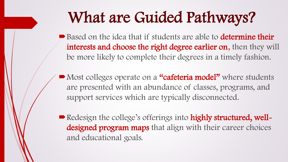## What are Guided Pathways?

Based on the idea that if students are able to **determine their** interests and choose the right degree earlier on, then they will be more likely to complete their degrees in a timely fashion.

• Most colleges operate on a "cafeteria model" where students are presented with an abundance of classes, programs, and support services which are typically disconnected.

Redesign the college's offerings into highly structured, welldesigned program maps that align with their career choices and educational goals.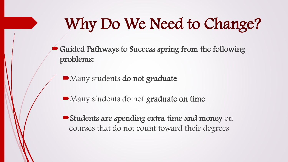## Why Do We Need to Change?

Guided Pathways to Success spring from the following problems:

Many students do not graduate

Many students do not graduate on time

■ Students are spending extra time and money on courses that do not count toward their degrees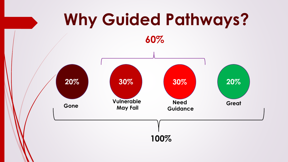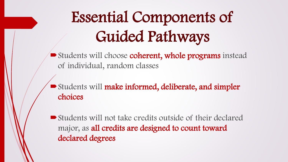# Essential Components of Guided Pathways

Students will choose coherent, whole programs instead of individual, random classes

Students will make informed, deliberate, and simpler choices

Students will not take credits outside of their declared major, as all credits are designed to count toward declared degrees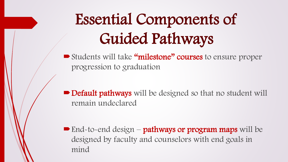# Essential Components of Guided Pathways

Students will take "milestone" courses to ensure proper progression to graduation

■ Default pathways will be designed so that no student will remain undeclared

**End-to-end design – pathways or program maps** will be designed by faculty and counselors with end goals in mind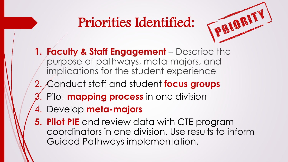#### Priorities Identified:



- **1. Faculty & Staff Engagement**  Describe the purpose of pathways, meta-majors, and implications for the student experience
- 2. Conduct staff and student **focus groups**
- 3. Pilot **mapping process** in one division
- 4. Develop **meta-majors**
- **5. Pilot PIE** and review data with CTE program coordinators in one division. Use results to inform Guided Pathways implementation.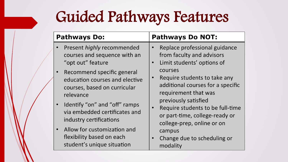## Guided Pathways Features

| <b>Pathways Do:</b>                                                                                                                                                         | <b>Pathways Do NOT:</b>                                                                                                                                                                            |
|-----------------------------------------------------------------------------------------------------------------------------------------------------------------------------|----------------------------------------------------------------------------------------------------------------------------------------------------------------------------------------------------|
| Present highly recommended<br>courses and sequence with an<br>"opt out" feature                                                                                             | Replace professional guidance<br>from faculty and advisors<br>Limit students' options of<br>$\bullet$                                                                                              |
| Recommend specific general<br>education courses and elective<br>courses, based on curricular<br>relevance<br>Identify "on" and "off" ramps<br>via embedded certificates and | courses<br>Require students to take any<br>additional courses for a specific<br>requirement that was<br>previously satisfied<br>Require students to be full-time<br>or part-time, college-ready or |
| industry certifications<br>Allow for customization and<br>flexibility based on each<br>student's unique situation                                                           | college-prep, online or on<br>campus<br>Change due to scheduling or<br>$\bullet$<br>modality                                                                                                       |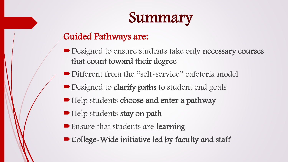

#### Guided Pathways are:

- Designed to ensure students take only necessary courses that count toward their degree
- Different from the "self-service" cafeteria model
- Designed to **clarify paths** to student end goals
- Help students choose and enter a pathway
- Help students stay on path
- Ensure that students are **learning**
- College-Wide initiative led by faculty and staff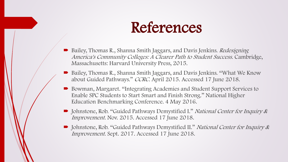#### References

- Bailey, Thomas R., Shanna Smith Jaggars, and Davis Jenkins. Redesigning America's Community Colleges: A Clearer Path to Student Success. Cambridge, Massachusetts: Harvard University Press, 2015.
- Bailey, Thomas R., Shanna Smith Jaggars, and Davis Jenkins. "What We Know about Guided Pathways." CCRC. April 2015. Accessed 17 June 2018.
- Bowman, Margaret. "Integrating Academies and Student Support Services to Enable SPC Students to Start Smart and Finish Strong." National Higher Education Benchmarking Conference. 4 May 2016.
- Johnstone, Rob. "Guided Pathways Demystified I." National Center for Inquiry & Improvement. Nov. 2015. Accessed 17 June 2018.
- Johnstone, Rob. "Guided Pathways Demystified II." National Center for Inquiry & Improvement. Sept. 2017. Accessed 17 June 2018.